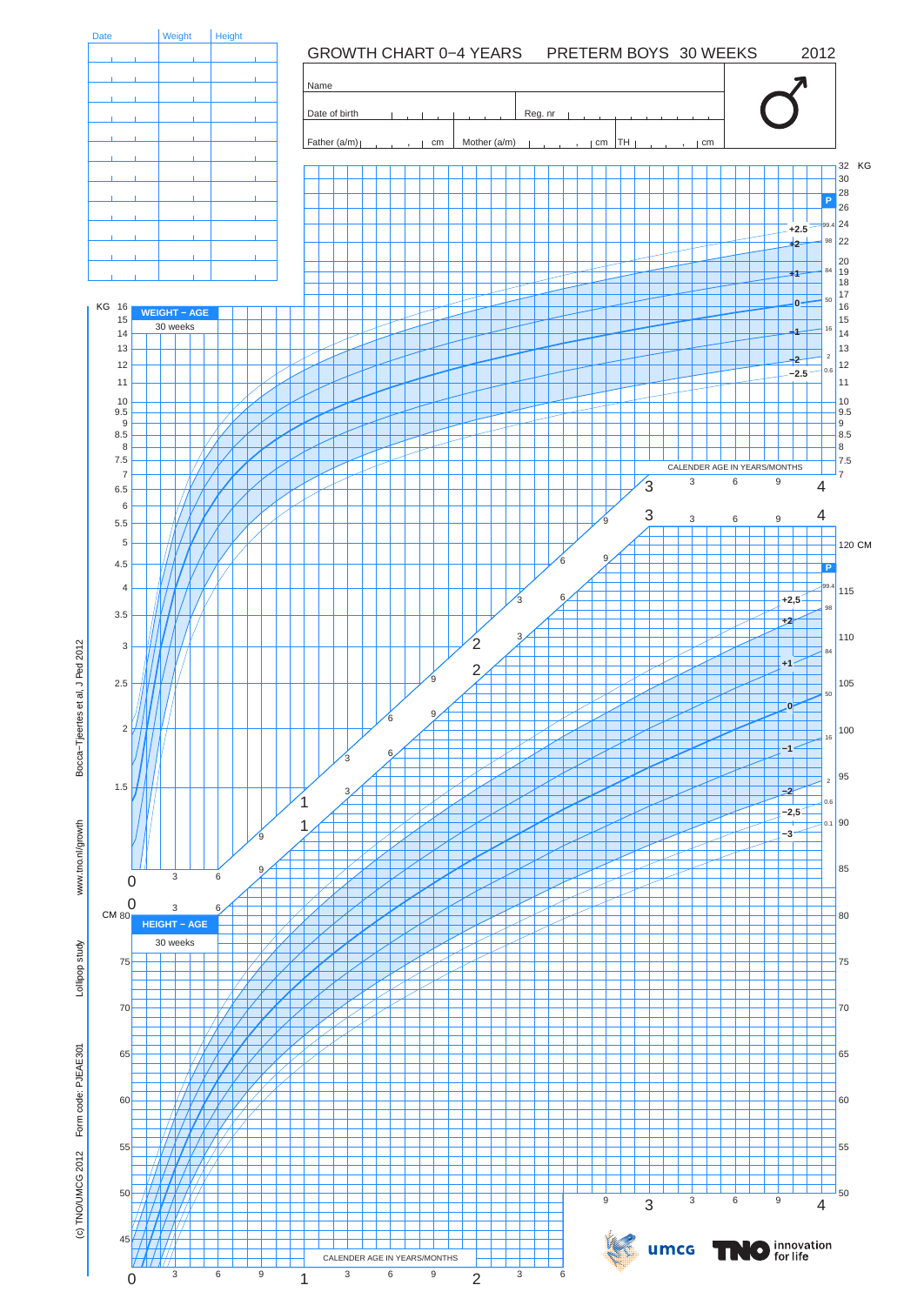